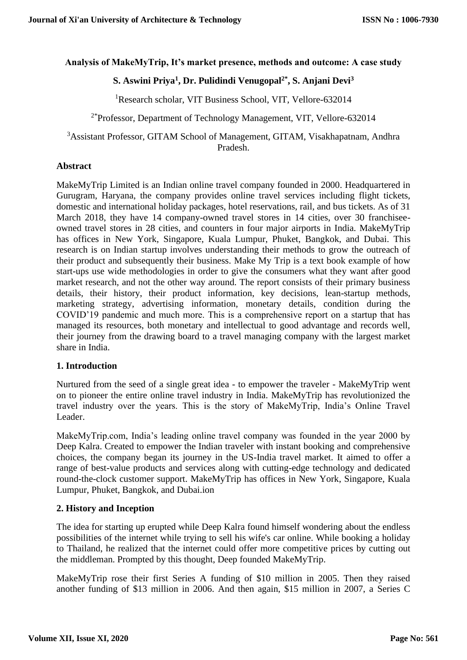### **Analysis of MakeMyTrip, It's market presence, methods and outcome: A case study**

# **S. Aswini Priya<sup>1</sup> , Dr. Pulidindi Venugopal2\* , S. Anjani Devi<sup>3</sup>**

<sup>1</sup>Research scholar, VIT Business School, VIT, Vellore-632014

 $2*$ Professor, Department of Technology Management, VIT, Vellore-632014

<sup>3</sup>Assistant Professor, GITAM School of Management, GITAM, Visakhapatnam, Andhra Pradesh.

### **Abstract**

MakeMyTrip Limited is an Indian online travel company founded in 2000. Headquartered in Gurugram, Haryana, the company provides online travel services including flight tickets, domestic and international holiday packages, hotel reservations, rail, and bus tickets. As of 31 March 2018, they have 14 company-owned travel stores in 14 cities, over 30 franchiseeowned travel stores in 28 cities, and counters in four major airports in India. MakeMyTrip has offices in New York, Singapore, Kuala Lumpur, Phuket, Bangkok, and Dubai. This research is on Indian startup involves understanding their methods to grow the outreach of their product and subsequently their business. Make My Trip is a text book example of how start-ups use wide methodologies in order to give the consumers what they want after good market research, and not the other way around. The report consists of their primary business details, their history, their product information, key decisions, lean-startup methods, marketing strategy, advertising information, monetary details, condition during the COVID'19 pandemic and much more. This is a comprehensive report on a startup that has managed its resources, both monetary and intellectual to good advantage and records well, their journey from the drawing board to a travel managing company with the largest market share in India.

### **1. Introduction**

Nurtured from the seed of a single great idea - to empower the traveler - MakeMyTrip went on to pioneer the entire online travel industry in India. MakeMyTrip has revolutionized the travel industry over the years. This is the story of MakeMyTrip, India's Online Travel Leader.

MakeMyTrip.com, India's leading online travel company was founded in the year 2000 by Deep Kalra. Created to empower the Indian traveler with instant booking and comprehensive choices, the company began its journey in the US-India travel market. It aimed to offer a range of best-value products and services along with cutting-edge technology and dedicated round-the-clock customer support. MakeMyTrip has offices in New York, Singapore, Kuala Lumpur, Phuket, Bangkok, and Dubai.ion

# **2. History and Inception**

The idea for starting up erupted while Deep Kalra found himself wondering about the endless possibilities of the internet while trying to sell his wife's car online. While booking a holiday to Thailand, he realized that the internet could offer more competitive prices by cutting out the middleman. Prompted by this thought, Deep founded MakeMyTrip.

MakeMyTrip rose their first Series A funding of \$10 million in 2005. Then they raised another funding of \$13 million in 2006. And then again, \$15 million in 2007, a Series C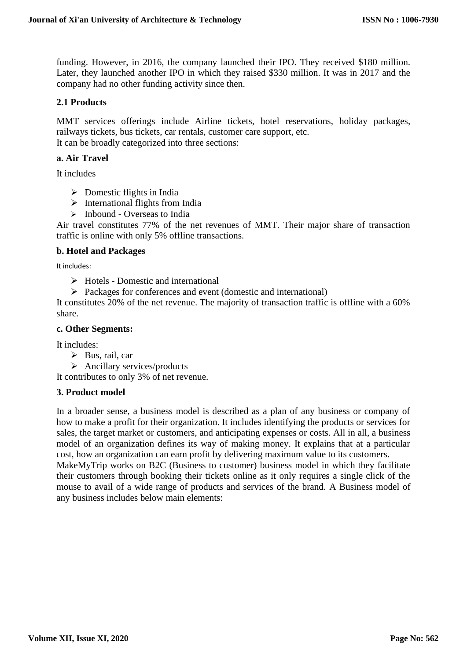funding. However, in 2016, the company launched their IPO. They received \$180 million. Later, they launched another IPO in which they raised \$330 million. It was in 2017 and the company had no other funding activity since then.

### **2.1 Products**

MMT services offerings include Airline tickets, hotel reservations, holiday packages, railways tickets, bus tickets, car rentals, customer care support, etc. It can be broadly categorized into three sections:

### **a. Air Travel**

It includes

- ➢ Domestic flights in India
- $\triangleright$  International flights from India
- $\triangleright$  Inbound Overseas to India

Air travel constitutes 77% of the net revenues of MMT. Their major share of transaction traffic is online with only 5% offline transactions.

### **b. Hotel and Packages**

It includes:

- ➢ Hotels Domestic and international
- ➢ Packages for conferences and event (domestic and international)

It constitutes 20% of the net revenue. The majority of transaction traffic is offline with a 60% share.

### **c. Other Segments:**

It includes:

- $\triangleright$  Bus, rail, car
- ➢ Ancillary services/products

It contributes to only 3% of net revenue.

### **3. Product model**

In a broader sense, a business model is described as a plan of any business or company of how to make a profit for their organization. It includes identifying the products or services for sales, the target market or customers, and anticipating expenses or costs. All in all, a business model of an organization defines its way of making money. It explains that at a particular cost, how an organization can earn profit by delivering maximum value to its customers.

MakeMyTrip works on B2C (Business to customer) business model in which they facilitate their customers through booking their tickets online as it only requires a single click of the mouse to avail of a wide range of products and services of the brand. A Business model of any business includes below main elements: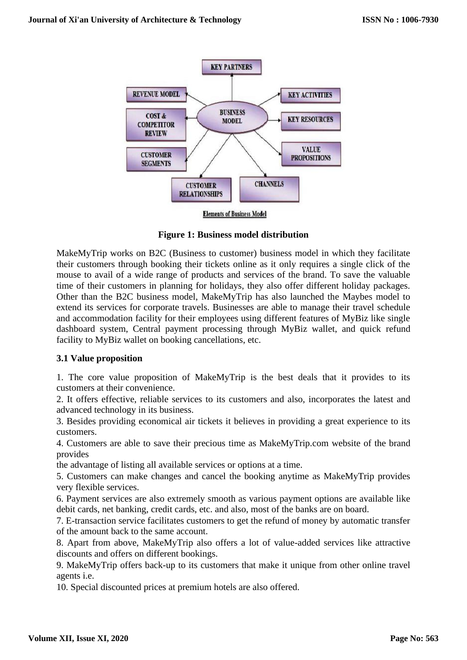

**Figure 1: Business model distribution**

MakeMyTrip works on B2C (Business to customer) business model in which they facilitate their customers through booking their tickets online as it only requires a single click of the mouse to avail of a wide range of products and services of the brand. To save the valuable time of their customers in planning for holidays, they also offer different holiday packages. Other than the B2C business model, MakeMyTrip has also launched the Maybes model to extend its services for corporate travels. Businesses are able to manage their travel schedule and accommodation facility for their employees using different features of MyBiz like single dashboard system, Central payment processing through MyBiz wallet, and quick refund facility to MyBiz wallet on booking cancellations, etc.

# **3.1 Value proposition**

1. The core value proposition of MakeMyTrip is the best deals that it provides to its customers at their convenience.

2. It offers effective, reliable services to its customers and also, incorporates the latest and advanced technology in its business.

3. Besides providing economical air tickets it believes in providing a great experience to its customers.

4. Customers are able to save their precious time as MakeMyTrip.com website of the brand provides

the advantage of listing all available services or options at a time.

5. Customers can make changes and cancel the booking anytime as MakeMyTrip provides very flexible services.

6. Payment services are also extremely smooth as various payment options are available like debit cards, net banking, credit cards, etc. and also, most of the banks are on board.

7. E-transaction service facilitates customers to get the refund of money by automatic transfer of the amount back to the same account.

8. Apart from above, MakeMyTrip also offers a lot of value-added services like attractive discounts and offers on different bookings.

9. MakeMyTrip offers back-up to its customers that make it unique from other online travel agents i.e.

10. Special discounted prices at premium hotels are also offered.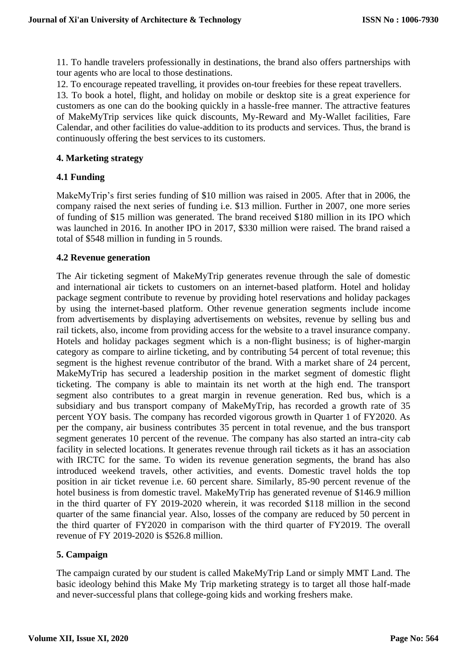11. To handle travelers professionally in destinations, the brand also offers partnerships with tour agents who are local to those destinations.

12. To encourage repeated travelling, it provides on-tour freebies for these repeat travellers.

13. To book a hotel, flight, and holiday on mobile or desktop site is a great experience for customers as one can do the booking quickly in a hassle-free manner. The attractive features of MakeMyTrip services like quick discounts, My-Reward and My-Wallet facilities, Fare Calendar, and other facilities do value-addition to its products and services. Thus, the brand is continuously offering the best services to its customers.

### **4. Marketing strategy**

### **4.1 Funding**

MakeMyTrip's first series funding of \$10 million was raised in 2005. After that in 2006, the company raised the next series of funding i.e. \$13 million. Further in 2007, one more series of funding of \$15 million was generated. The brand received \$180 million in its IPO which was launched in 2016. In another IPO in 2017, \$330 million were raised. The brand raised a total of \$548 million in funding in 5 rounds.

### **4.2 Revenue generation**

The Air ticketing segment of MakeMyTrip generates revenue through the sale of domestic and international air tickets to customers on an internet-based platform. Hotel and holiday package segment contribute to revenue by providing hotel reservations and holiday packages by using the internet-based platform. Other revenue generation segments include income from advertisements by displaying advertisements on websites, revenue by selling bus and rail tickets, also, income from providing access for the website to a travel insurance company. Hotels and holiday packages segment which is a non-flight business; is of higher-margin category as compare to airline ticketing, and by contributing 54 percent of total revenue; this segment is the highest revenue contributor of the brand. With a market share of 24 percent, MakeMyTrip has secured a leadership position in the market segment of domestic flight ticketing. The company is able to maintain its net worth at the high end. The transport segment also contributes to a great margin in revenue generation. Red bus, which is a subsidiary and bus transport company of MakeMyTrip, has recorded a growth rate of 35 percent YOY basis. The company has recorded vigorous growth in Quarter 1 of FY2020. As per the company, air business contributes 35 percent in total revenue, and the bus transport segment generates 10 percent of the revenue. The company has also started an intra-city cab facility in selected locations. It generates revenue through rail tickets as it has an association with IRCTC for the same. To widen its revenue generation segments, the brand has also introduced weekend travels, other activities, and events. Domestic travel holds the top position in air ticket revenue i.e. 60 percent share. Similarly, 85-90 percent revenue of the hotel business is from domestic travel. MakeMyTrip has generated revenue of \$146.9 million in the third quarter of FY 2019-2020 wherein, it was recorded \$118 million in the second quarter of the same financial year. Also, losses of the company are reduced by 50 percent in the third quarter of FY2020 in comparison with the third quarter of FY2019. The overall revenue of FY 2019-2020 is \$526.8 million.

# **5. Campaign**

The campaign curated by our student is called MakeMyTrip Land or simply MMT Land. The basic ideology behind this Make My Trip marketing strategy is to target all those half-made and never-successful plans that college-going kids and working freshers make.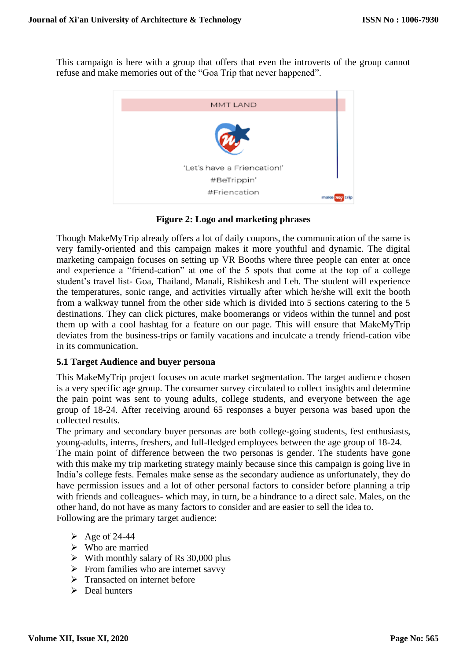This campaign is here with a group that offers that even the introverts of the group cannot refuse and make memories out of the "Goa Trip that never happened".



**Figure 2: Logo and marketing phrases**

Though MakeMyTrip already offers a lot of daily coupons, the communication of the same is very family-oriented and this campaign makes it more youthful and dynamic. The digital marketing campaign focuses on setting up VR Booths where three people can enter at once and experience a "friend-cation" at one of the 5 spots that come at the top of a college student's travel list- Goa, Thailand, Manali, Rishikesh and Leh. The student will experience the temperatures, sonic range, and activities virtually after which he/she will exit the booth from a walkway tunnel from the other side which is divided into 5 sections catering to the 5 destinations. They can click pictures, make boomerangs or videos within the tunnel and post them up with a cool hashtag for a feature on our page. This will ensure that MakeMyTrip deviates from the business-trips or family vacations and inculcate a trendy friend-cation vibe in its communication.

### **5.1 Target Audience and buyer persona**

This MakeMyTrip project focuses on acute market segmentation. The target audience chosen is a very specific age group. The consumer survey circulated to collect insights and determine the pain point was sent to young adults, college students, and everyone between the age group of 18-24. After receiving around 65 responses a buyer persona was based upon the collected results.

The primary and secondary buyer personas are both college-going students, fest enthusiasts, young-adults, interns, freshers, and full-fledged employees between the age group of 18-24.

The main point of difference between the two personas is gender. The students have gone with this make my trip marketing strategy mainly because since this campaign is going live in India's college fests. Females make sense as the secondary audience as unfortunately, they do have permission issues and a lot of other personal factors to consider before planning a trip with friends and colleagues- which may, in turn, be a hindrance to a direct sale. Males, on the other hand, do not have as many factors to consider and are easier to sell the idea to. Following are the primary target audience:

- $\geq$  Age of 24-44
- ➢ Who are married
- $\triangleright$  With monthly salary of Rs 30,000 plus
- $\triangleright$  From families who are internet savvy
- ➢ Transacted on internet before
- ➢ Deal hunters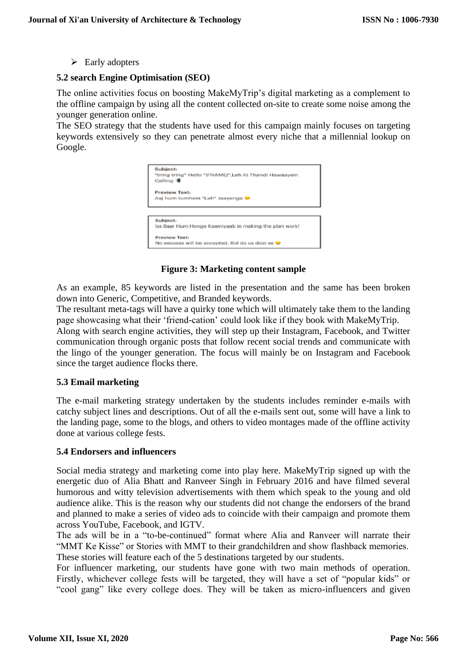$\triangleright$  Early adopters

### **5.2 search Engine Optimisation (SEO)**

The online activities focus on boosting MakeMyTrip's digital marketing as a complement to the offline campaign by using all the content collected on-site to create some noise among the younger generation online.

The SEO strategy that the students have used for this campaign mainly focuses on targeting keywords extensively so they can penetrate almost every niche that a millennial lookup on Google.

| Subject:<br>*tring tring* Hello * FNAME *,Leh Ki Thandi Hawaayein<br>Calling - |  |
|--------------------------------------------------------------------------------|--|
| Preview Text:<br>Aaj hum tumhein *Leh* Jaayenge                                |  |
|                                                                                |  |
| Subject:<br>lss Baar Hum Honge Kaamiyaab in making the plan work!              |  |
| Proviow Toxt:<br>No excuses will be accepted. Bol do us dost se                |  |

### **Figure 3: Marketing content sample**

As an example, 85 keywords are listed in the presentation and the same has been broken down into Generic, Competitive, and Branded keywords.

The resultant meta-tags will have a quirky tone which will ultimately take them to the landing page showcasing what their 'friend-cation' could look like if they book with MakeMyTrip.

Along with search engine activities, they will step up their Instagram, Facebook, and Twitter communication through organic posts that follow recent social trends and communicate with the lingo of the younger generation. The focus will mainly be on Instagram and Facebook since the target audience flocks there.

### **5.3 Email marketing**

The e-mail marketing strategy undertaken by the students includes reminder e-mails with catchy subject lines and descriptions. Out of all the e-mails sent out, some will have a link to the landing page, some to the blogs, and others to video montages made of the offline activity done at various college fests.

#### **5.4 Endorsers and influencers**

Social media strategy and marketing come into play here. MakeMyTrip signed up with the energetic duo of Alia Bhatt and Ranveer Singh in February 2016 and have filmed several humorous and witty television advertisements with them which speak to the young and old audience alike. This is the reason why our students did not change the endorsers of the brand and planned to make a series of video ads to coincide with their campaign and promote them across YouTube, Facebook, and IGTV.

The ads will be in a "to-be-continued" format where Alia and Ranveer will narrate their "MMT Ke Kisse" or Stories with MMT to their grandchildren and show flashback memories. These stories will feature each of the 5 destinations targeted by our students.

For influencer marketing, our students have gone with two main methods of operation. Firstly, whichever college fests will be targeted, they will have a set of "popular kids" or "cool gang" like every college does. They will be taken as micro-influencers and given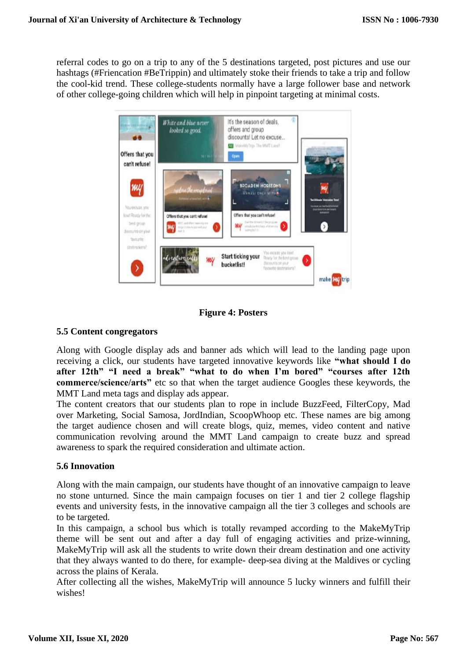referral codes to go on a trip to any of the 5 destinations targeted, post pictures and use our hashtags (#Friencation #BeTrippin) and ultimately stoke their friends to take a trip and follow the cool-kid trend. These college-students normally have a large follower base and network of other college-going children which will help in pinpoint targeting at minimal costs.



**Figure 4: Posters**

## **5.5 Content congregators**

Along with Google display ads and banner ads which will lead to the landing page upon receiving a click, our students have targeted innovative keywords like **"what should I do after 12th" "I need a break" "what to do when I'm bored" "courses after 12th commerce/science/arts"** etc so that when the target audience Googles these keywords, the MMT Land meta tags and display ads appear.

The content creators that our students plan to rope in include BuzzFeed, FilterCopy, Mad over Marketing, Social Samosa, JordIndian, ScoopWhoop etc. These names are big among the target audience chosen and will create blogs, quiz, memes, video content and native communication revolving around the MMT Land campaign to create buzz and spread awareness to spark the required consideration and ultimate action.

# **5.6 Innovation**

Along with the main campaign, our students have thought of an innovative campaign to leave no stone unturned. Since the main campaign focuses on tier 1 and tier 2 college flagship events and university fests, in the innovative campaign all the tier 3 colleges and schools are to be targeted.

In this campaign, a school bus which is totally revamped according to the MakeMyTrip theme will be sent out and after a day full of engaging activities and prize-winning, MakeMyTrip will ask all the students to write down their dream destination and one activity that they always wanted to do there, for example- deep-sea diving at the Maldives or cycling across the plains of Kerala.

After collecting all the wishes, MakeMyTrip will announce 5 lucky winners and fulfill their wishes!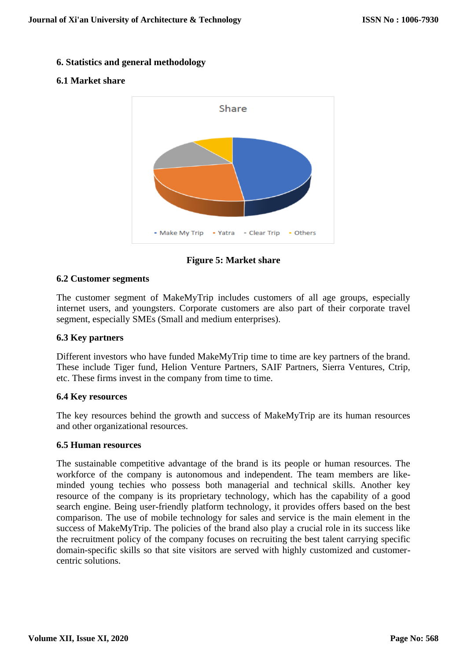### **6. Statistics and general methodology**

## **6.1 Market share**



**Figure 5: Market share**

### **6.2 Customer segments**

The customer segment of MakeMyTrip includes customers of all age groups, especially internet users, and youngsters. Corporate customers are also part of their corporate travel segment, especially SMEs (Small and medium enterprises).

### **6.3 Key partners**

Different investors who have funded MakeMyTrip time to time are key partners of the brand. These include Tiger fund, Helion Venture Partners, SAIF Partners, Sierra Ventures, Ctrip, etc. These firms invest in the company from time to time.

### **6.4 Key resources**

The key resources behind the growth and success of MakeMyTrip are its human resources and other organizational resources.

### **6.5 Human resources**

The sustainable competitive advantage of the brand is its people or human resources. The workforce of the company is autonomous and independent. The team members are likeminded young techies who possess both managerial and technical skills. Another key resource of the company is its proprietary technology, which has the capability of a good search engine. Being user-friendly platform technology, it provides offers based on the best comparison. The use of mobile technology for sales and service is the main element in the success of MakeMyTrip. The policies of the brand also play a crucial role in its success like the recruitment policy of the company focuses on recruiting the best talent carrying specific domain-specific skills so that site visitors are served with highly customized and customercentric solutions.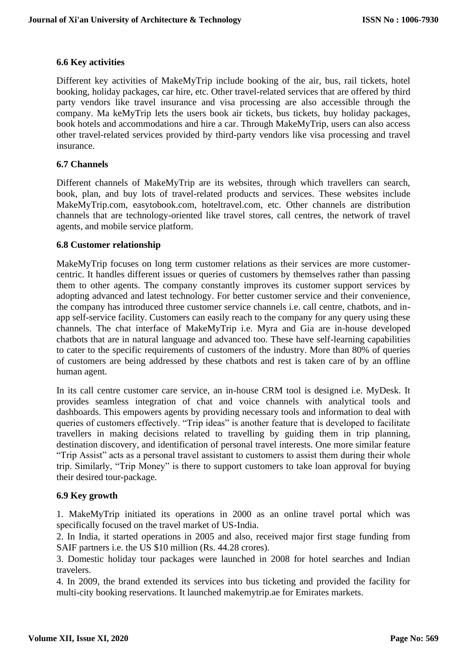### **6.6 Key activities**

Different key activities of MakeMyTrip include booking of the air, bus, rail tickets, hotel booking, holiday packages, car hire, etc. Other travel-related services that are offered by third party vendors like travel insurance and visa processing are also accessible through the company. Ma keMyTrip lets the users book air tickets, bus tickets, buy holiday packages, book hotels and accommodations and hire a car. Through MakeMyTrip, users can also access other travel-related services provided by third-party vendors like visa processing and travel insurance.

### **6.7 Channels**

Different channels of MakeMyTrip are its websites, through which travellers can search, book, plan, and buy lots of travel-related products and services. These websites include MakeMyTrip.com, easytobook.com, hoteltravel.com, etc. Other channels are distribution channels that are technology-oriented like travel stores, call centres, the network of travel agents, and mobile service platform.

### **6.8 Customer relationship**

MakeMyTrip focuses on long term customer relations as their services are more customercentric. It handles different issues or queries of customers by themselves rather than passing them to other agents. The company constantly improves its customer support services by adopting advanced and latest technology. For better customer service and their convenience, the company has introduced three customer service channels i.e. call centre, chatbots, and inapp self-service facility. Customers can easily reach to the company for any query using these channels. The chat interface of MakeMyTrip i.e. Myra and Gia are in-house developed chatbots that are in natural language and advanced too. These have self-learning capabilities to cater to the specific requirements of customers of the industry. More than 80% of queries of customers are being addressed by these chatbots and rest is taken care of by an offline human agent.

In its call centre customer care service, an in-house CRM tool is designed i.e. MyDesk. It provides seamless integration of chat and voice channels with analytical tools and dashboards. This empowers agents by providing necessary tools and information to deal with queries of customers effectively. "Trip ideas" is another feature that is developed to facilitate travellers in making decisions related to travelling by guiding them in trip planning, destination discovery, and identification of personal travel interests. One more similar feature "Trip Assist" acts as a personal travel assistant to customers to assist them during their whole trip. Similarly, "Trip Money" is there to support customers to take loan approval for buying their desired tour-package.

### **6.9 Key growth**

1. MakeMyTrip initiated its operations in 2000 as an online travel portal which was specifically focused on the travel market of US-India.

2. In India, it started operations in 2005 and also, received major first stage funding from SAIF partners i.e. the US \$10 million (Rs. 44.28 crores).

3. Domestic holiday tour packages were launched in 2008 for hotel searches and Indian travelers.

4. In 2009, the brand extended its services into bus ticketing and provided the facility for multi-city booking reservations. It launched makemytrip.ae for Emirates markets.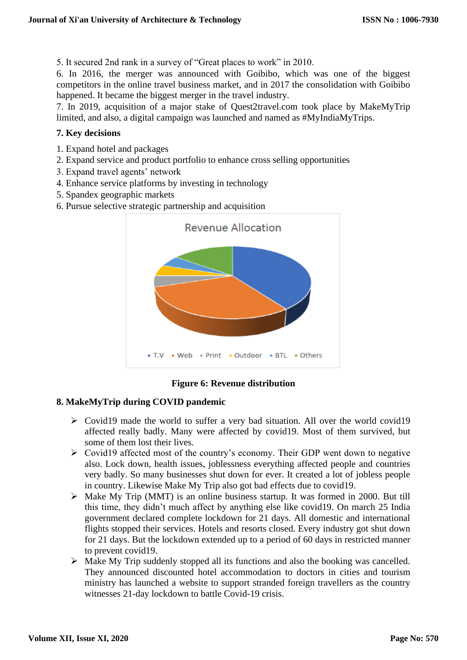5. It secured 2nd rank in a survey of "Great places to work" in 2010.

6. In 2016, the merger was announced with Goibibo, which was one of the biggest competitors in the online travel business market, and in 2017 the consolidation with Goibibo happened. It became the biggest merger in the travel industry.

7. In 2019, acquisition of a major stake of Quest2travel.com took place by MakeMyTrip limited, and also, a digital campaign was launched and named as #MyIndiaMyTrips.

## **7. Key decisions**

- 1. Expand hotel and packages
- 2. Expand service and product portfolio to enhance cross selling opportunities
- 3. Expand travel agents' network
- 4. Enhance service platforms by investing in technology
- 5. Spandex geographic markets
- 6. Pursue selective strategic partnership and acquisition



# **Figure 6: Revenue distribution**

# **8. MakeMyTrip during COVID pandemic**

- ➢ Covid19 made the world to suffer a very bad situation. All over the world covid19 affected really badly. Many were affected by covid19. Most of them survived, but some of them lost their lives.
- ➢ Covid19 affected most of the country's economy. Their GDP went down to negative also. Lock down, health issues, joblessness everything affected people and countries very badly. So many businesses shut down for ever. It created a lot of jobless people in country. Likewise Make My Trip also got bad effects due to covid19.
- ➢ Make My Trip (MMT) is an online business startup. It was formed in 2000. But till this time, they didn't much affect by anything else like covid19. On march 25 India government declared complete lockdown for 21 days. All domestic and international flights stopped their services. Hotels and resorts closed. Every industry got shut down for 21 days. But the lockdown extended up to a period of 60 days in restricted manner to prevent covid19.
- ➢ Make My Trip suddenly stopped all its functions and also the booking was cancelled. They announced discounted hotel accommodation to doctors in cities and tourism ministry has launched a website to support stranded foreign travellers as the country witnesses 21-day lockdown to battle Covid-19 crisis.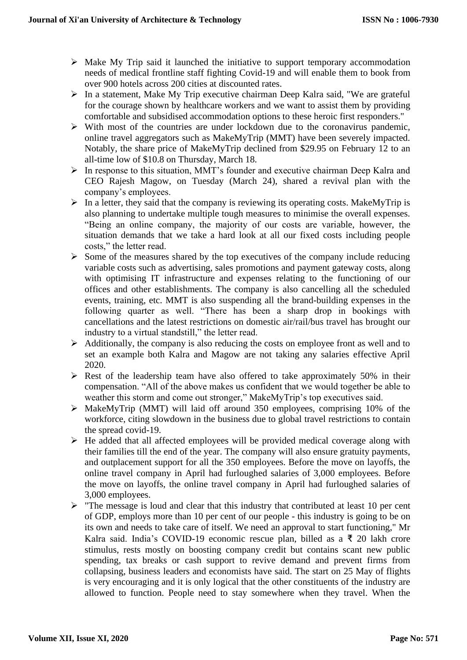- ➢ Make My Trip said it launched the initiative to support temporary accommodation needs of medical frontline staff fighting Covid-19 and will enable them to book from over 900 hotels across 200 cities at discounted rates.
- ➢ In a statement, Make My Trip executive chairman Deep Kalra said, "We are grateful for the courage shown by healthcare workers and we want to assist them by providing comfortable and subsidised accommodation options to these heroic first responders."
- $\triangleright$  With most of the countries are under lockdown due to the coronavirus pandemic, online travel aggregators such as MakeMyTrip (MMT) have been severely impacted. Notably, the share price of MakeMyTrip declined from \$29.95 on February 12 to an all-time low of \$10.8 on Thursday, March 18.
- ➢ In response to this situation, MMT's founder and executive chairman Deep Kalra and CEO Rajesh Magow, on Tuesday (March 24), shared a revival plan with the company's employees.
- ➢ In a letter, they said that the company is reviewing its operating costs. MakeMyTrip is also planning to undertake multiple tough measures to minimise the overall expenses. "Being an online company, the majority of our costs are variable, however, the situation demands that we take a hard look at all our fixed costs including people costs," the letter read.
- $\triangleright$  Some of the measures shared by the top executives of the company include reducing variable costs such as advertising, sales promotions and payment gateway costs, along with optimising IT infrastructure and expenses relating to the functioning of our offices and other establishments. The company is also cancelling all the scheduled events, training, etc. MMT is also suspending all the brand-building expenses in the following quarter as well. "There has been a sharp drop in bookings with cancellations and the latest restrictions on domestic air/rail/bus travel has brought our industry to a virtual standstill," the letter read.
- ➢ Additionally, the company is also reducing the costs on employee front as well and to set an example both Kalra and Magow are not taking any salaries effective April 2020.
- $\triangleright$  Rest of the leadership team have also offered to take approximately 50% in their compensation. "All of the above makes us confident that we would together be able to weather this storm and come out stronger," MakeMyTrip's top executives said.
- ➢ MakeMyTrip (MMT) will laid off around 350 employees, comprising 10% of the workforce, citing slowdown in the business due to global travel restrictions to contain the spread covid-19.
- ➢ He added that all affected employees will be provided medical coverage along with their families till the end of the year. The company will also ensure gratuity payments, and outplacement support for all the 350 employees. Before the move on layoffs, the online travel company in April had furloughed salaries of 3,000 employees. Before the move on layoffs, the online travel company in April had furloughed salaries of 3,000 employees.
- ➢ "The message is loud and clear that this industry that contributed at least 10 per cent of GDP, employs more than 10 per cent of our people - this industry is going to be on its own and needs to take care of itself. We need an approval to start functioning," Mr Kalra said. India's COVID-19 economic rescue plan, billed as a ₹ 20 lakh crore stimulus, rests mostly on boosting company credit but contains scant new public spending, tax breaks or cash support to revive demand and prevent firms from collapsing, business leaders and economists have said. The start on 25 May of flights is very encouraging and it is only logical that the other constituents of the industry are allowed to function. People need to stay somewhere when they travel. When the